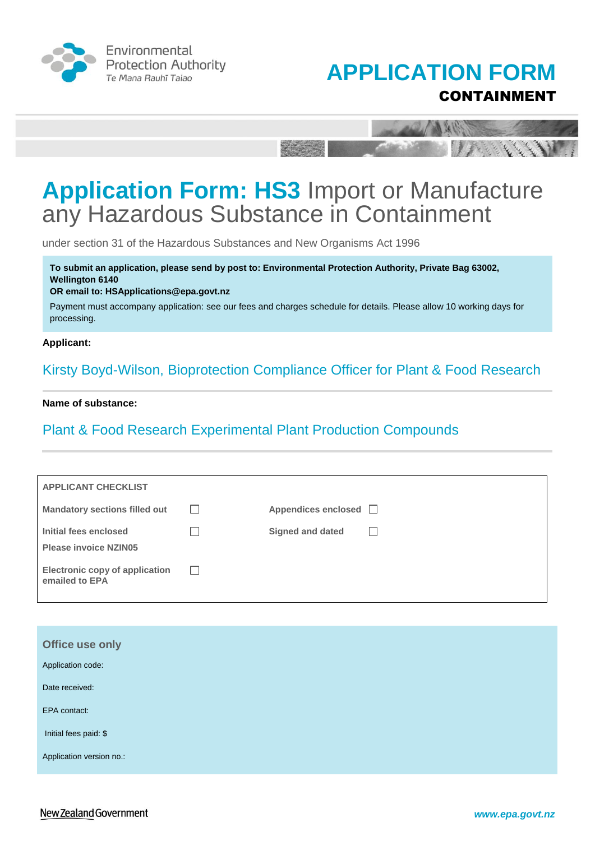





under section 31 of the Hazardous Substances and New Organisms Act 1996

**To submit an application, please send by post to: Environmental Protection Authority, Private Bag 63002, Wellington 6140** 

#### **OR email to: HSApplications@epa.govt.nz**

Payment must accompany application: see our fees and charges schedule for details. Please allow 10 working days for processing.

#### **Applicant:**

Kirsty Boyd-Wilson, Bioprotection Compliance Officer for Plant & Food Research

#### **Name of substance:**

### Plant & Food Research Experimental Plant Production Compounds

| <b>APPLICANT CHECKLIST</b>                              |         |                         |  |
|---------------------------------------------------------|---------|-------------------------|--|
| <b>Mandatory sections filled out</b>                    | $\perp$ | Appendices enclosed □   |  |
| Initial fees enclosed<br><b>Please invoice NZIN05</b>   |         | <b>Signed and dated</b> |  |
| <b>Electronic copy of application</b><br>emailed to EPA |         |                         |  |

| Office use only          |  |
|--------------------------|--|
| Application code:        |  |
| Date received:           |  |
| EPA contact:             |  |
| Initial fees paid: \$    |  |
| Application version no.: |  |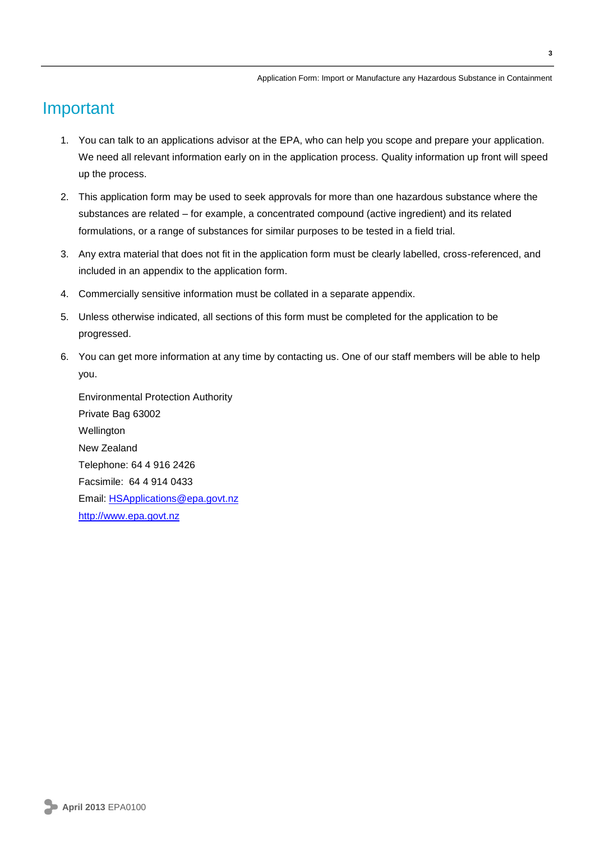### Important

- 1. You can talk to an applications advisor at the EPA, who can help you scope and prepare your application. We need all relevant information early on in the application process. Quality information up front will speed up the process.
- 2. This application form may be used to seek approvals for more than one hazardous substance where the substances are related – for example, a concentrated compound (active ingredient) and its related formulations, or a range of substances for similar purposes to be tested in a field trial.
- 3. Any extra material that does not fit in the application form must be clearly labelled, cross-referenced, and included in an appendix to the application form.
- 4. Commercially sensitive information must be collated in a separate appendix.
- 5. Unless otherwise indicated, all sections of this form must be completed for the application to be progressed.
- 6. You can get more information at any time by contacting us. One of our staff members will be able to help you.

Environmental Protection Authority Private Bag 63002 Wellington New Zealand Telephone: 64 4 916 2426 Facsimile: 64 4 914 0433 Email: [HSApplications@epa.govt.nz](mailto:HSApplications@epa.govt.nz) [http://www.epa.govt.nz](http://www.epa.govt.nz/)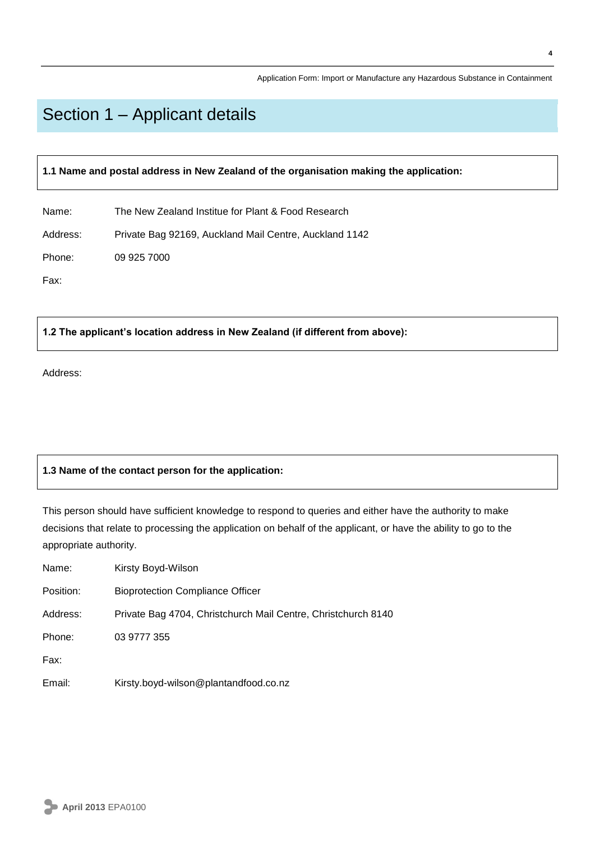## Section 1 – Applicant details

**1.1 Name and postal address in New Zealand of the organisation making the application:**

Name: The New Zealand Institue for Plant & Food Research

Address: Private Bag 92169, Auckland Mail Centre, Auckland 1142

Phone: 09 925 7000

Fax:

**1.2 The applicant's location address in New Zealand (if different from above):** 

Address:

#### **1.3 Name of the contact person for the application:**

This person should have sufficient knowledge to respond to queries and either have the authority to make decisions that relate to processing the application on behalf of the applicant, or have the ability to go to the appropriate authority.

| Name:     | Kirsty Boyd-Wilson                                            |
|-----------|---------------------------------------------------------------|
| Position: | <b>Bioprotection Compliance Officer</b>                       |
| Address:  | Private Bag 4704, Christchurch Mail Centre, Christchurch 8140 |
| Phone:    | 03 9777 355                                                   |
| Fax:      |                                                               |
| Email:    | Kirsty.boyd-wilson@plantandfood.co.nz                         |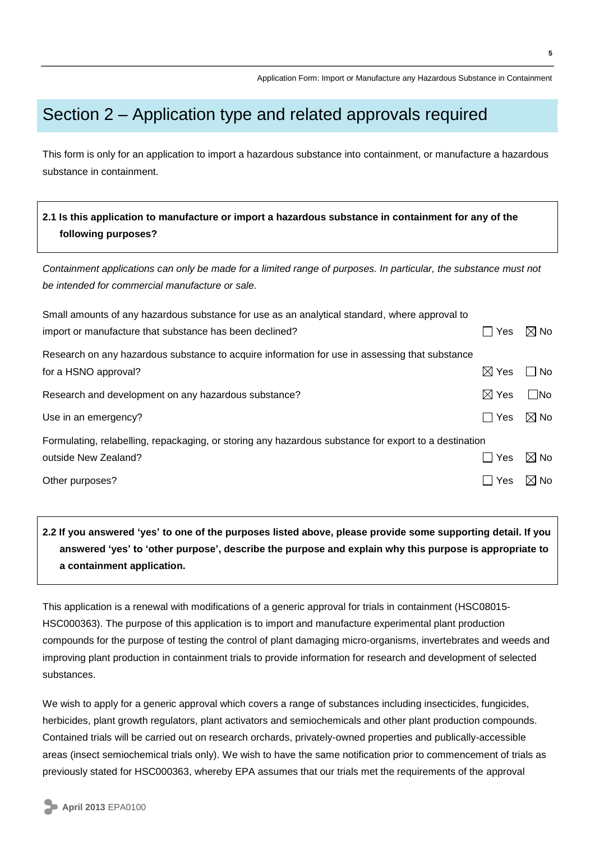## Section 2 – Application type and related approvals required

This form is only for an application to import a hazardous substance into containment, or manufacture a hazardous substance in containment.

### **2.1 Is this application to manufacture or import a hazardous substance in containment for any of the following purposes?**

*Containment applications can only be made for a limited range of purposes. In particular, the substance must not be intended for commercial manufacture or sale.*

| Small amounts of any hazardous substance for use as an analytical standard, where approval to         |                 |                |
|-------------------------------------------------------------------------------------------------------|-----------------|----------------|
| import or manufacture that substance has been declined?                                               | Yes             | $\boxtimes$ No |
| Research on any hazardous substance to acquire information for use in assessing that substance        |                 |                |
| for a HSNO approval?                                                                                  | $\boxtimes$ Yes | No             |
| Research and development on any hazardous substance?                                                  | $\boxtimes$ Yes | $\square$ No   |
| Use in an emergency?                                                                                  | l I Yes         | $\boxtimes$ No |
| Formulating, relabelling, repackaging, or storing any hazardous substance for export to a destination |                 |                |
| outside New Zealand?                                                                                  | Yes             | $\boxtimes$ No |
| Other purposes?                                                                                       | Yes             | $\boxtimes$ No |

### **2.2 If you answered 'yes' to one of the purposes listed above, please provide some supporting detail. If you answered 'yes' to 'other purpose', describe the purpose and explain why this purpose is appropriate to a containment application.**

This application is a renewal with modifications of a generic approval for trials in containment (HSC08015- HSC000363). The purpose of this application is to import and manufacture experimental plant production compounds for the purpose of testing the control of plant damaging micro-organisms, invertebrates and weeds and improving plant production in containment trials to provide information for research and development of selected substances.

We wish to apply for a generic approval which covers a range of substances including insecticides, fungicides, herbicides, plant growth regulators, plant activators and semiochemicals and other plant production compounds. Contained trials will be carried out on research orchards, privately-owned properties and publically-accessible areas (insect semiochemical trials only). We wish to have the same notification prior to commencement of trials as previously stated for HSC000363, whereby EPA assumes that our trials met the requirements of the approval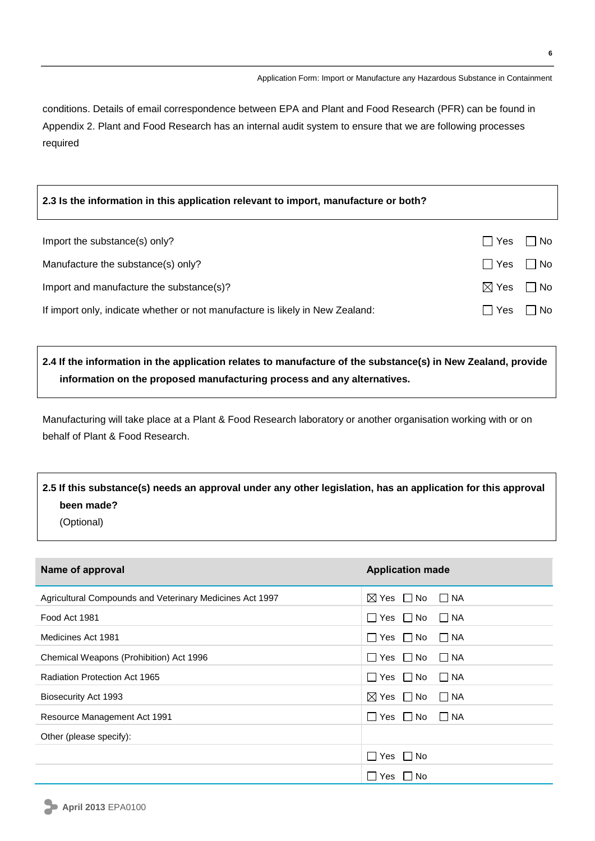conditions. Details of email correspondence between EPA and Plant and Food Research (PFR) can be found in Appendix 2. Plant and Food Research has an internal audit system to ensure that we are following processes required

#### **2.3 Is the information in this application relevant to import, manufacture or both?**

| Import the substance(s) only?                                                 | Yes   No                  |  |
|-------------------------------------------------------------------------------|---------------------------|--|
| Manufacture the substance(s) only?                                            | $\Box$ Yes $\Box$ No      |  |
| Import and manufacture the substance(s)?                                      | $\boxtimes$ Yes $\Box$ No |  |
| If import only, indicate whether or not manufacture is likely in New Zealand: | Yes   No                  |  |

### **2.4 If the information in the application relates to manufacture of the substance(s) in New Zealand, provide information on the proposed manufacturing process and any alternatives.**

Manufacturing will take place at a Plant & Food Research laboratory or another organisation working with or on behalf of Plant & Food Research.

### **2.5 If this substance(s) needs an approval under any other legislation, has an application for this approval been made?**

(Optional)

| Name of approval                                         | <b>Application made</b>                |
|----------------------------------------------------------|----------------------------------------|
| Agricultural Compounds and Veterinary Medicines Act 1997 | $\boxtimes$ Yes $\Box$ No $\Box$ NA    |
| Food Act 1981                                            | $\Box$ Yes $\Box$ No $\Box$ NA         |
| Medicines Act 1981                                       | $\Box$ Yes $\Box$ No<br>I NA           |
| Chemical Weapons (Prohibition) Act 1996                  | $\Box$ Yes $\Box$ No $\Box$ NA         |
| Radiation Protection Act 1965                            | $\Box$ Yes $\Box$ No $\Box$ NA         |
| Biosecurity Act 1993                                     | $\boxtimes$ Yes $\Box$ No<br>$\Box$ NA |
| Resource Management Act 1991                             | $\Box$ Yes $\Box$ No $\Box$ NA         |
| Other (please specify):                                  |                                        |
|                                                          | $\Box$ Yes $\Box$ No                   |
|                                                          | $\Box$ Yes $\Box$ No                   |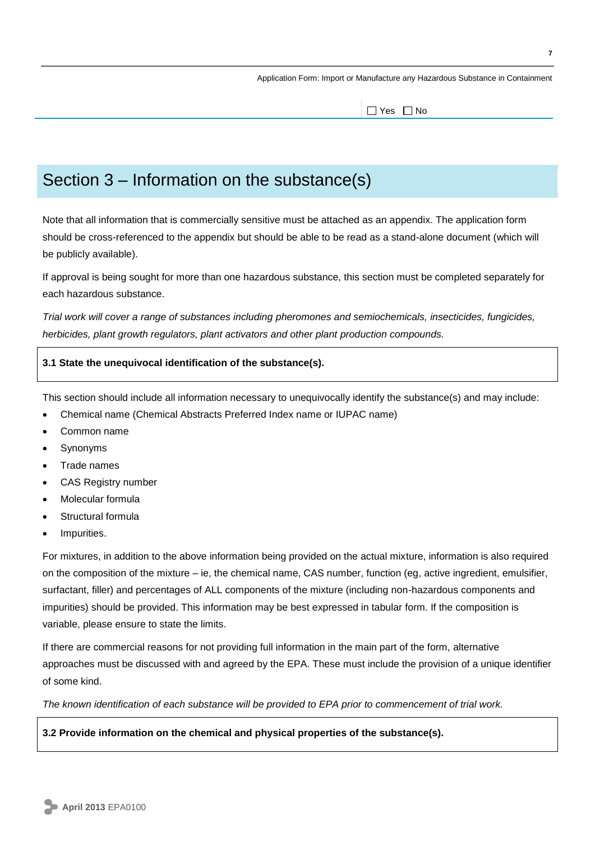$\Box$  Yes  $\Box$  No

## Section 3 – Information on the substance(s)

Note that all information that is commercially sensitive must be attached as an appendix. The application form should be cross-referenced to the appendix but should be able to be read as a stand-alone document (which will be publicly available).

If approval is being sought for more than one hazardous substance, this section must be completed separately for each hazardous substance.

*Trial work will cover a range of substances including pheromones and semiochemicals, insecticides, fungicides, herbicides, plant growth regulators, plant activators and other plant production compounds.*

#### **3.1 State the unequivocal identification of the substance(s).**

This section should include all information necessary to unequivocally identify the substance(s) and may include:

- Chemical name (Chemical Abstracts Preferred Index name or IUPAC name)
- Common name
- Synonyms
- Trade names
- CAS Registry number
- Molecular formula
- Structural formula
- Impurities.

For mixtures, in addition to the above information being provided on the actual mixture, information is also required on the composition of the mixture – ie, the chemical name, CAS number, function (eg, active ingredient, emulsifier, surfactant, filler) and percentages of ALL components of the mixture (including non-hazardous components and impurities) should be provided. This information may be best expressed in tabular form. If the composition is variable, please ensure to state the limits.

If there are commercial reasons for not providing full information in the main part of the form, alternative approaches must be discussed with and agreed by the EPA. These must include the provision of a unique identifier of some kind.

*The known identification of each substance will be provided to EPA prior to commencement of trial work.*

**3.2 Provide information on the chemical and physical properties of the substance(s).**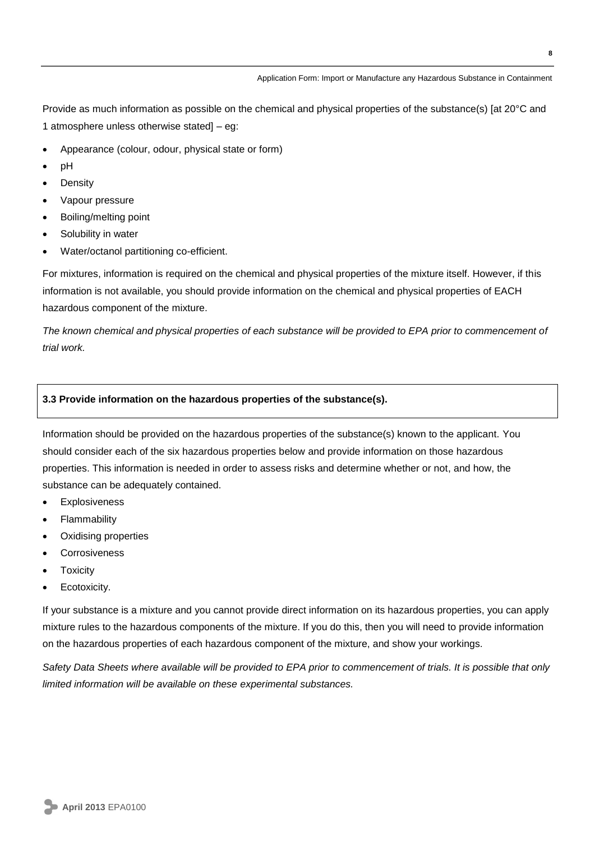Provide as much information as possible on the chemical and physical properties of the substance(s) [at 20°C and 1 atmosphere unless otherwise stated] – eg:

- Appearance (colour, odour, physical state or form)
- $\bullet$  pH
- Density
- Vapour pressure
- Boiling/melting point
- Solubility in water
- Water/octanol partitioning co-efficient.

For mixtures, information is required on the chemical and physical properties of the mixture itself. However, if this information is not available, you should provide information on the chemical and physical properties of EACH hazardous component of the mixture.

*The known chemical and physical properties of each substance will be provided to EPA prior to commencement of trial work.*

#### **3.3 Provide information on the hazardous properties of the substance(s).**

Information should be provided on the hazardous properties of the substance(s) known to the applicant. You should consider each of the six hazardous properties below and provide information on those hazardous properties. This information is needed in order to assess risks and determine whether or not, and how, the substance can be adequately contained.

- Explosiveness
- Flammability
- Oxidising properties
- Corrosiveness
- **Toxicity**
- Ecotoxicity.

If your substance is a mixture and you cannot provide direct information on its hazardous properties, you can apply mixture rules to the hazardous components of the mixture. If you do this, then you will need to provide information on the hazardous properties of each hazardous component of the mixture, and show your workings.

*Safety Data Sheets where available will be provided to EPA prior to commencement of trials. It is possible that only limited information will be available on these experimental substances.*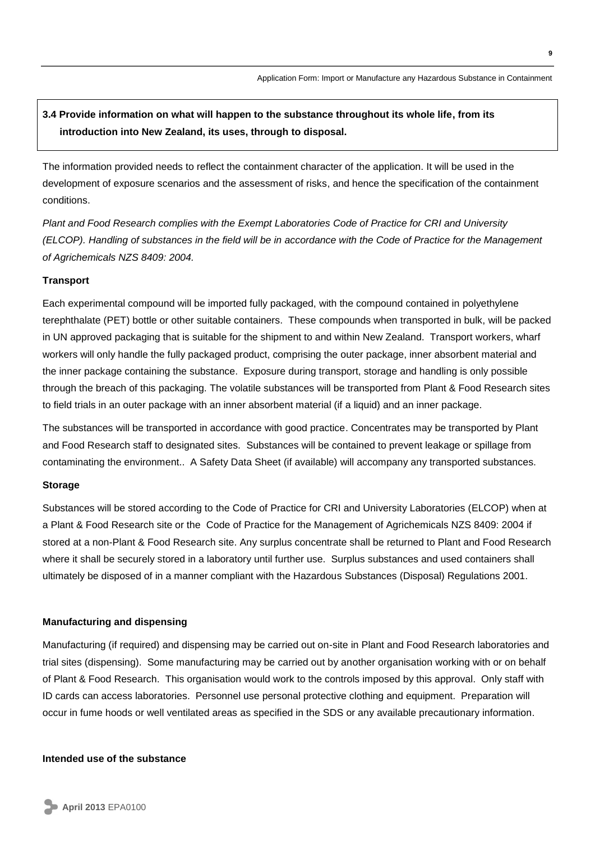### **3.4 Provide information on what will happen to the substance throughout its whole life, from its introduction into New Zealand, its uses, through to disposal.**

The information provided needs to reflect the containment character of the application. It will be used in the development of exposure scenarios and the assessment of risks, and hence the specification of the containment conditions.

*Plant and Food Research complies with the Exempt Laboratories Code of Practice for CRI and University (ELCOP). Handling of substances in the field will be in accordance with the Code of Practice for the Management of Agrichemicals NZS 8409: 2004.* 

#### **Transport**

Each experimental compound will be imported fully packaged, with the compound contained in polyethylene terephthalate (PET) bottle or other suitable containers. These compounds when transported in bulk, will be packed in UN approved packaging that is suitable for the shipment to and within New Zealand. Transport workers, wharf workers will only handle the fully packaged product, comprising the outer package, inner absorbent material and the inner package containing the substance. Exposure during transport, storage and handling is only possible through the breach of this packaging. The volatile substances will be transported from Plant & Food Research sites to field trials in an outer package with an inner absorbent material (if a liquid) and an inner package.

The substances will be transported in accordance with good practice. Concentrates may be transported by Plant and Food Research staff to designated sites. Substances will be contained to prevent leakage or spillage from contaminating the environment.. A Safety Data Sheet (if available) will accompany any transported substances.

#### **Storage**

Substances will be stored according to the Code of Practice for CRI and University Laboratories (ELCOP) when at a Plant & Food Research site or the Code of Practice for the Management of Agrichemicals NZS 8409: 2004 if stored at a non-Plant & Food Research site. Any surplus concentrate shall be returned to Plant and Food Research where it shall be securely stored in a laboratory until further use. Surplus substances and used containers shall ultimately be disposed of in a manner compliant with the Hazardous Substances (Disposal) Regulations 2001.

#### **Manufacturing and dispensing**

Manufacturing (if required) and dispensing may be carried out on-site in Plant and Food Research laboratories and trial sites (dispensing). Some manufacturing may be carried out by another organisation working with or on behalf of Plant & Food Research. This organisation would work to the controls imposed by this approval. Only staff with ID cards can access laboratories. Personnel use personal protective clothing and equipment. Preparation will occur in fume hoods or well ventilated areas as specified in the SDS or any available precautionary information.

#### **Intended use of the substance**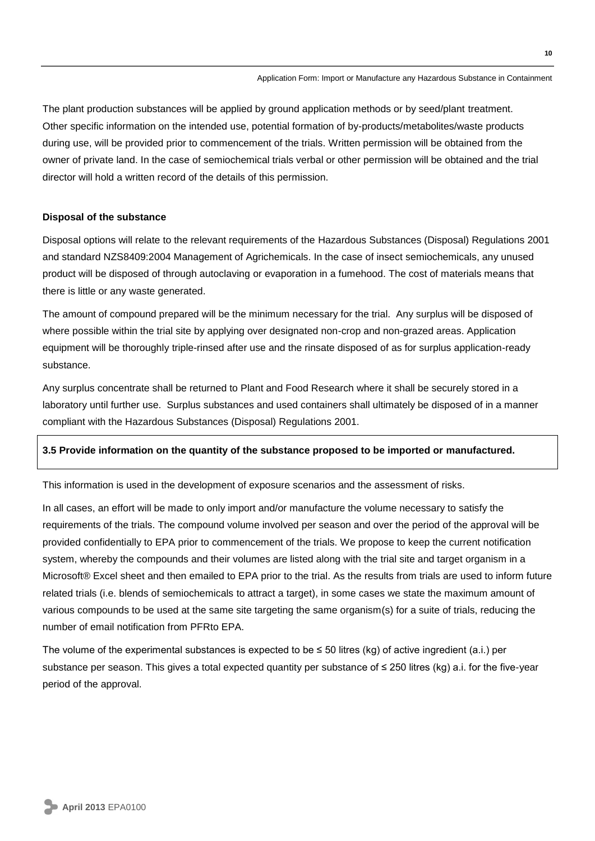The plant production substances will be applied by ground application methods or by seed/plant treatment. Other specific information on the intended use, potential formation of by-products/metabolites/waste products during use, will be provided prior to commencement of the trials. Written permission will be obtained from the owner of private land. In the case of semiochemical trials verbal or other permission will be obtained and the trial director will hold a written record of the details of this permission.

#### **Disposal of the substance**

Disposal options will relate to the relevant requirements of the Hazardous Substances (Disposal) Regulations 2001 and standard NZS8409:2004 Management of Agrichemicals. In the case of insect semiochemicals, any unused product will be disposed of through autoclaving or evaporation in a fumehood. The cost of materials means that there is little or any waste generated.

The amount of compound prepared will be the minimum necessary for the trial. Any surplus will be disposed of where possible within the trial site by applying over designated non-crop and non-grazed areas. Application equipment will be thoroughly triple-rinsed after use and the rinsate disposed of as for surplus application-ready substance.

Any surplus concentrate shall be returned to Plant and Food Research where it shall be securely stored in a laboratory until further use. Surplus substances and used containers shall ultimately be disposed of in a manner compliant with the Hazardous Substances (Disposal) Regulations 2001.

#### **3.5 Provide information on the quantity of the substance proposed to be imported or manufactured.**

This information is used in the development of exposure scenarios and the assessment of risks.

In all cases, an effort will be made to only import and/or manufacture the volume necessary to satisfy the requirements of the trials. The compound volume involved per season and over the period of the approval will be provided confidentially to EPA prior to commencement of the trials. We propose to keep the current notification system, whereby the compounds and their volumes are listed along with the trial site and target organism in a Microsoft® Excel sheet and then emailed to EPA prior to the trial. As the results from trials are used to inform future related trials (i.e. blends of semiochemicals to attract a target), in some cases we state the maximum amount of various compounds to be used at the same site targeting the same organism(s) for a suite of trials, reducing the number of email notification from PFRto EPA.

The volume of the experimental substances is expected to be  $\leq$  50 litres (kg) of active ingredient (a.i.) per substance per season. This gives a total expected quantity per substance of ≤ 250 litres (kg) a.i. for the five-year period of the approval.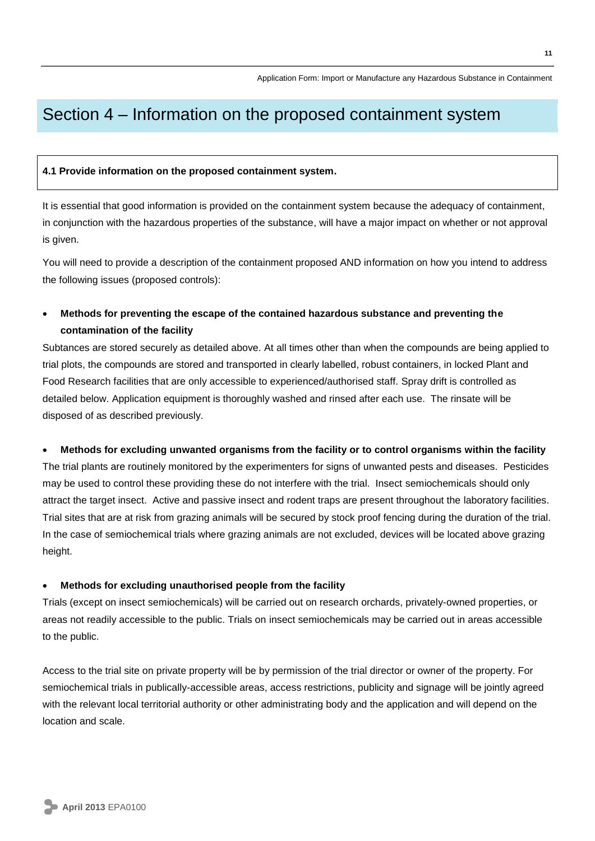## Section 4 – Information on the proposed containment system

#### **4.1 Provide information on the proposed containment system.**

It is essential that good information is provided on the containment system because the adequacy of containment, in conjunction with the hazardous properties of the substance, will have a major impact on whether or not approval is given.

You will need to provide a description of the containment proposed AND information on how you intend to address the following issues (proposed controls):

#### **Methods for preventing the escape of the contained hazardous substance and preventing the contamination of the facility**

Subtances are stored securely as detailed above. At all times other than when the compounds are being applied to trial plots, the compounds are stored and transported in clearly labelled, robust containers, in locked Plant and Food Research facilities that are only accessible to experienced/authorised staff. Spray drift is controlled as detailed below. Application equipment is thoroughly washed and rinsed after each use. The rinsate will be disposed of as described previously.

#### **Methods for excluding unwanted organisms from the facility or to control organisms within the facility**

The trial plants are routinely monitored by the experimenters for signs of unwanted pests and diseases. Pesticides may be used to control these providing these do not interfere with the trial. Insect semiochemicals should only attract the target insect. Active and passive insect and rodent traps are present throughout the laboratory facilities. Trial sites that are at risk from grazing animals will be secured by stock proof fencing during the duration of the trial. In the case of semiochemical trials where grazing animals are not excluded, devices will be located above grazing height.

#### **Methods for excluding unauthorised people from the facility**

Trials (except on insect semiochemicals) will be carried out on research orchards, privately-owned properties, or areas not readily accessible to the public. Trials on insect semiochemicals may be carried out in areas accessible to the public.

Access to the trial site on private property will be by permission of the trial director or owner of the property. For semiochemical trials in publically-accessible areas, access restrictions, publicity and signage will be jointly agreed with the relevant local territorial authority or other administrating body and the application and will depend on the location and scale.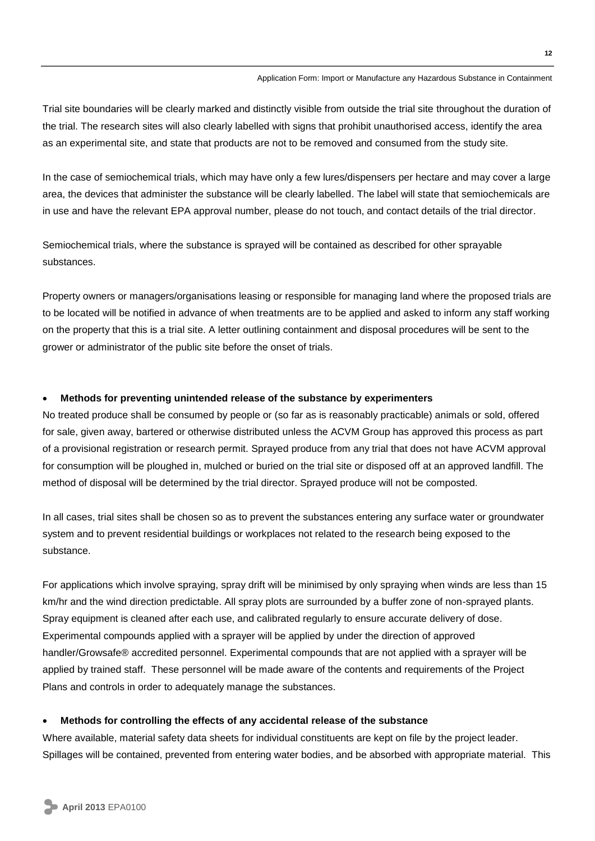Trial site boundaries will be clearly marked and distinctly visible from outside the trial site throughout the duration of the trial. The research sites will also clearly labelled with signs that prohibit unauthorised access, identify the area as an experimental site, and state that products are not to be removed and consumed from the study site.

In the case of semiochemical trials, which may have only a few lures/dispensers per hectare and may cover a large area, the devices that administer the substance will be clearly labelled. The label will state that semiochemicals are in use and have the relevant EPA approval number, please do not touch, and contact details of the trial director.

Semiochemical trials, where the substance is sprayed will be contained as described for other sprayable substances.

Property owners or managers/organisations leasing or responsible for managing land where the proposed trials are to be located will be notified in advance of when treatments are to be applied and asked to inform any staff working on the property that this is a trial site. A letter outlining containment and disposal procedures will be sent to the grower or administrator of the public site before the onset of trials.

#### **Methods for preventing unintended release of the substance by experimenters**

No treated produce shall be consumed by people or (so far as is reasonably practicable) animals or sold, offered for sale, given away, bartered or otherwise distributed unless the ACVM Group has approved this process as part of a provisional registration or research permit. Sprayed produce from any trial that does not have ACVM approval for consumption will be ploughed in, mulched or buried on the trial site or disposed off at an approved landfill. The method of disposal will be determined by the trial director. Sprayed produce will not be composted.

In all cases, trial sites shall be chosen so as to prevent the substances entering any surface water or groundwater system and to prevent residential buildings or workplaces not related to the research being exposed to the substance.

For applications which involve spraying, spray drift will be minimised by only spraying when winds are less than 15 km/hr and the wind direction predictable. All spray plots are surrounded by a buffer zone of non-sprayed plants. Spray equipment is cleaned after each use, and calibrated regularly to ensure accurate delivery of dose. Experimental compounds applied with a sprayer will be applied by under the direction of approved handler/Growsafe® accredited personnel. Experimental compounds that are not applied with a sprayer will be applied by trained staff. These personnel will be made aware of the contents and requirements of the Project Plans and controls in order to adequately manage the substances.

#### **Methods for controlling the effects of any accidental release of the substance**

Where available, material safety data sheets for individual constituents are kept on file by the project leader. Spillages will be contained, prevented from entering water bodies, and be absorbed with appropriate material. This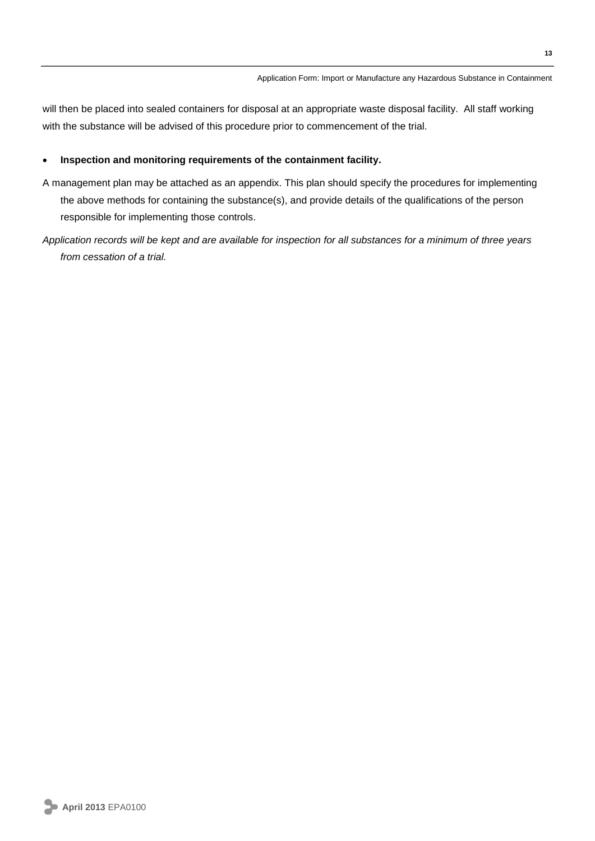will then be placed into sealed containers for disposal at an appropriate waste disposal facility. All staff working with the substance will be advised of this procedure prior to commencement of the trial.

#### **Inspection and monitoring requirements of the containment facility.**

- A management plan may be attached as an appendix. This plan should specify the procedures for implementing the above methods for containing the substance(s), and provide details of the qualifications of the person responsible for implementing those controls.
- *Application records will be kept and are available for inspection for all substances for a minimum of three years from cessation of a trial.*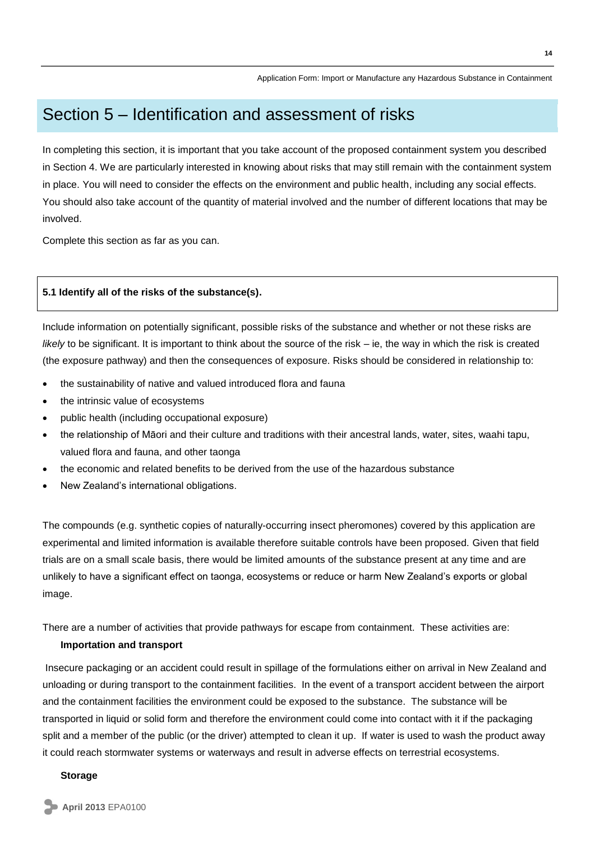## Section 5 – Identification and assessment of risks

In completing this section, it is important that you take account of the proposed containment system you described in Section 4. We are particularly interested in knowing about risks that may still remain with the containment system in place. You will need to consider the effects on the environment and public health, including any social effects. You should also take account of the quantity of material involved and the number of different locations that may be involved.

Complete this section as far as you can.

#### **5.1 Identify all of the risks of the substance(s).**

Include information on potentially significant, possible risks of the substance and whether or not these risks are *likely* to be significant. It is important to think about the source of the risk – ie, the way in which the risk is created (the exposure pathway) and then the consequences of exposure. Risks should be considered in relationship to:

- the sustainability of native and valued introduced flora and fauna
- the intrinsic value of ecosystems
- public health (including occupational exposure)
- the relationship of Māori and their culture and traditions with their ancestral lands, water, sites, waahi tapu, valued flora and fauna, and other taonga
- the economic and related benefits to be derived from the use of the hazardous substance
- New Zealand's international obligations.

The compounds (e.g. synthetic copies of naturally-occurring insect pheromones) covered by this application are experimental and limited information is available therefore suitable controls have been proposed. Given that field trials are on a small scale basis, there would be limited amounts of the substance present at any time and are unlikely to have a significant effect on taonga, ecosystems or reduce or harm New Zealand's exports or global image.

There are a number of activities that provide pathways for escape from containment. These activities are:

#### **Importation and transport**

Insecure packaging or an accident could result in spillage of the formulations either on arrival in New Zealand and unloading or during transport to the containment facilities. In the event of a transport accident between the airport and the containment facilities the environment could be exposed to the substance. The substance will be transported in liquid or solid form and therefore the environment could come into contact with it if the packaging split and a member of the public (or the driver) attempted to clean it up. If water is used to wash the product away it could reach stormwater systems or waterways and result in adverse effects on terrestrial ecosystems.

#### **Storage**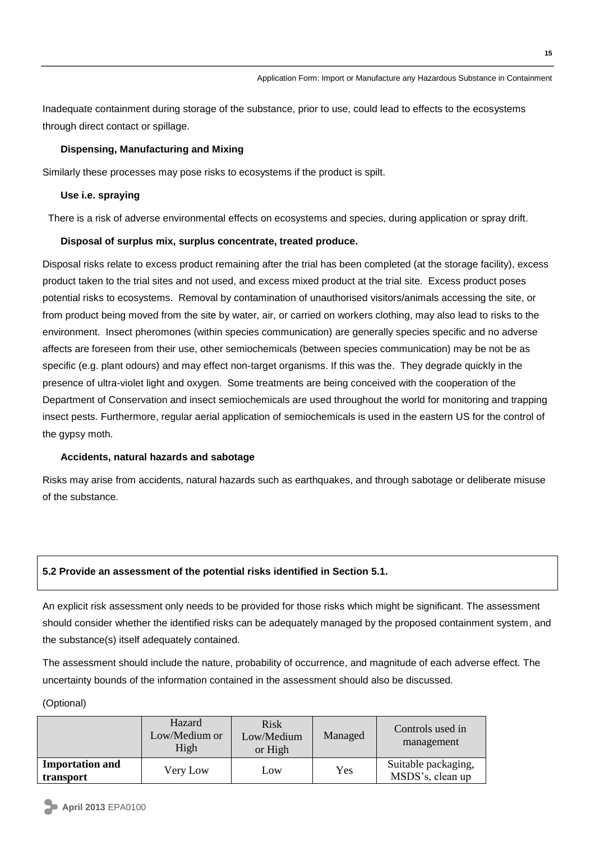Inadequate containment during storage of the substance, prior to use, could lead to effects to the ecosystems through direct contact or spillage.

#### **Dispensing, Manufacturing and Mixing**

Similarly these processes may pose risks to ecosystems if the product is spilt.

#### **Use i.e. spraying**

There is a risk of adverse environmental effects on ecosystems and species, during application or spray drift.

#### **Disposal of surplus mix, surplus concentrate, treated produce.**

Disposal risks relate to excess product remaining after the trial has been completed (at the storage facility), excess product taken to the trial sites and not used, and excess mixed product at the trial site. Excess product poses potential risks to ecosystems. Removal by contamination of unauthorised visitors/animals accessing the site, or from product being moved from the site by water, air, or carried on workers clothing, may also lead to risks to the environment. Insect pheromones (within species communication) are generally species specific and no adverse affects are foreseen from their use, other semiochemicals (between species communication) may be not be as specific (e.g. plant odours) and may effect non-target organisms. If this was the. They degrade quickly in the presence of ultra-violet light and oxygen. Some treatments are being conceived with the cooperation of the Department of Conservation and insect semiochemicals are used throughout the world for monitoring and trapping insect pests. Furthermore, regular aerial application of semiochemicals is used in the eastern US for the control of the gypsy moth.

#### **Accidents, natural hazards and sabotage**

Risks may arise from accidents, natural hazards such as earthquakes, and through sabotage or deliberate misuse of the substance.

#### **5.2 Provide an assessment of the potential risks identified in Section 5.1.**

An explicit risk assessment only needs to be provided for those risks which might be significant. The assessment should consider whether the identified risks can be adequately managed by the proposed containment system, and the substance(s) itself adequately contained.

The assessment should include the nature, probability of occurrence, and magnitude of each adverse effect. The uncertainty bounds of the information contained in the assessment should also be discussed.

(Optional)

|                                     | Hazard<br>Low/Medium or<br>High | Risk<br>Low/Medium<br>or High | Managed | Controls used in<br>management          |
|-------------------------------------|---------------------------------|-------------------------------|---------|-----------------------------------------|
| <b>Importation and</b><br>transport | Very Low                        | Low                           | Yes     | Suitable packaging,<br>MSDS's, clean up |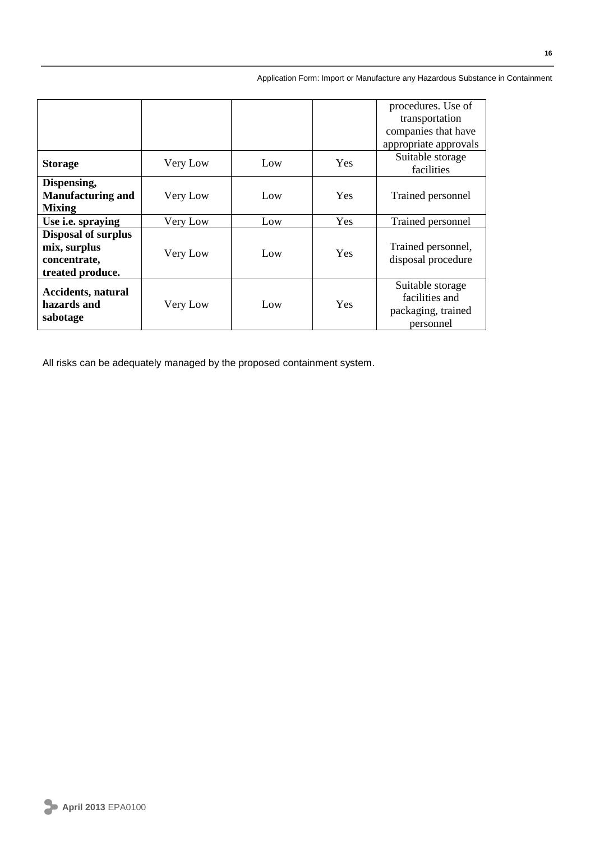|                            |          |     |            | procedures. Use of             |
|----------------------------|----------|-----|------------|--------------------------------|
|                            |          |     |            | transportation                 |
|                            |          |     |            | companies that have            |
|                            |          |     |            | appropriate approvals          |
| <b>Storage</b>             | Very Low | Low | <b>Yes</b> | Suitable storage<br>facilities |
| Dispensing,                |          |     |            |                                |
| <b>Manufacturing and</b>   | Very Low | Low | <b>Yes</b> | Trained personnel              |
| <b>Mixing</b>              |          |     |            |                                |
| Use i.e. spraying          | Very Low | Low | Yes        | Trained personnel              |
| <b>Disposal of surplus</b> |          |     |            |                                |
| mix, surplus               | Very Low | Low | <b>Yes</b> | Trained personnel,             |
| concentrate,               |          |     |            | disposal procedure             |
| treated produce.           |          |     |            |                                |
| <b>Accidents, natural</b>  |          |     |            | Suitable storage               |
| hazards and                | Very Low | Low | <b>Yes</b> | facilities and                 |
|                            |          |     |            | packaging, trained             |
| sabotage                   |          |     |            | personnel                      |

All risks can be adequately managed by the proposed containment system.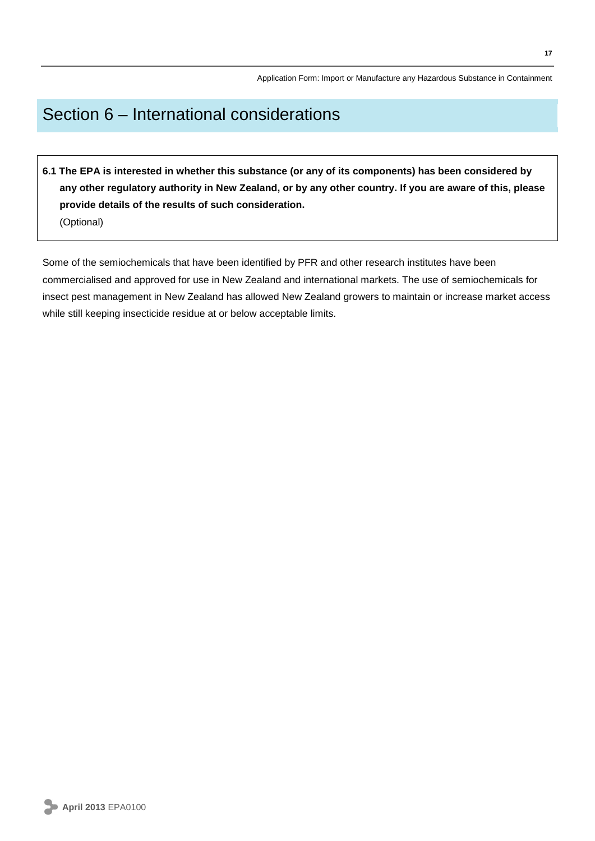## Section 6 – International considerations

**6.1 The EPA is interested in whether this substance (or any of its components) has been considered by any other regulatory authority in New Zealand, or by any other country. If you are aware of this, please provide details of the results of such consideration.**  (Optional)

Some of the semiochemicals that have been identified by PFR and other research institutes have been commercialised and approved for use in New Zealand and international markets. The use of semiochemicals for insect pest management in New Zealand has allowed New Zealand growers to maintain or increase market access while still keeping insecticide residue at or below acceptable limits.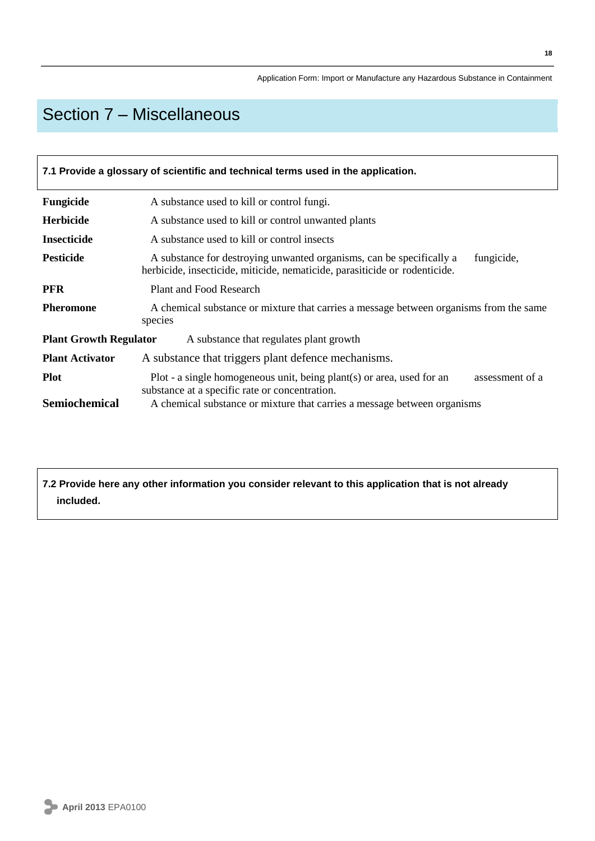# Section 7 – Miscellaneous

| 7.1 Provide a glossary of scientific and technical terms used in the application. |                                                                                                                                                                                                                        |  |  |  |
|-----------------------------------------------------------------------------------|------------------------------------------------------------------------------------------------------------------------------------------------------------------------------------------------------------------------|--|--|--|
| Fungicide                                                                         | A substance used to kill or control fungi.                                                                                                                                                                             |  |  |  |
| <b>Herbicide</b>                                                                  | A substance used to kill or control unwanted plants                                                                                                                                                                    |  |  |  |
| <b>Insecticide</b>                                                                | A substance used to kill or control insects                                                                                                                                                                            |  |  |  |
| <b>Pesticide</b>                                                                  | A substance for destroying unwanted organisms, can be specifically a<br>fungicide,<br>herbicide, insecticide, miticide, nematicide, parasiticide or rodenticide.                                                       |  |  |  |
| <b>PFR</b>                                                                        | Plant and Food Research                                                                                                                                                                                                |  |  |  |
| <b>Pheromone</b>                                                                  | A chemical substance or mixture that carries a message between organisms from the same<br>species                                                                                                                      |  |  |  |
| <b>Plant Growth Regulator</b>                                                     | A substance that regulates plant growth                                                                                                                                                                                |  |  |  |
| <b>Plant Activator</b>                                                            | A substance that triggers plant defence mechanisms.                                                                                                                                                                    |  |  |  |
| <b>Plot</b><br><b>Semiochemical</b>                                               | Plot - a single homogeneous unit, being plant(s) or area, used for an<br>assessment of a<br>substance at a specific rate or concentration.<br>A chemical substance or mixture that carries a message between organisms |  |  |  |
|                                                                                   |                                                                                                                                                                                                                        |  |  |  |

**7.2 Provide here any other information you consider relevant to this application that is not already included.**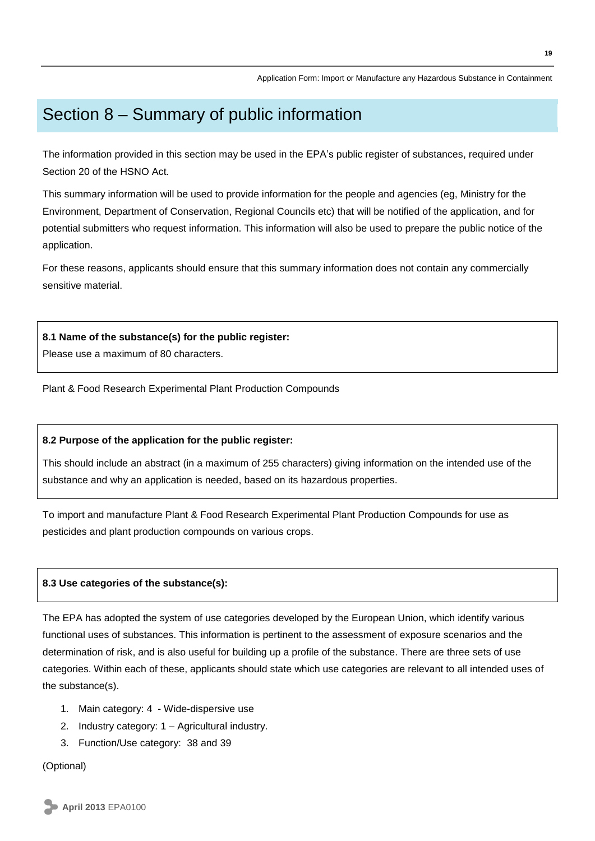## Section 8 – Summary of public information

The information provided in this section may be used in the EPA's public register of substances, required under Section 20 of the HSNO Act.

This summary information will be used to provide information for the people and agencies (eg, Ministry for the Environment, Department of Conservation, Regional Councils etc) that will be notified of the application, and for potential submitters who request information. This information will also be used to prepare the public notice of the application.

For these reasons, applicants should ensure that this summary information does not contain any commercially sensitive material.

#### **8.1 Name of the substance(s) for the public register:**

Please use a maximum of 80 characters.

Plant & Food Research Experimental Plant Production Compounds

#### **8.2 Purpose of the application for the public register:**

This should include an abstract (in a maximum of 255 characters) giving information on the intended use of the substance and why an application is needed, based on its hazardous properties.

To import and manufacture Plant & Food Research Experimental Plant Production Compounds for use as pesticides and plant production compounds on various crops.

#### **8.3 Use categories of the substance(s):**

The EPA has adopted the system of use categories developed by the European Union, which identify various functional uses of substances. This information is pertinent to the assessment of exposure scenarios and the determination of risk, and is also useful for building up a profile of the substance. There are three sets of use categories. Within each of these, applicants should state which use categories are relevant to all intended uses of the substance(s).

- 1. Main category: 4 Wide-dispersive use
- 2. Industry category: 1 Agricultural industry.
- 3. Function/Use category: 38 and 39

#### (Optional)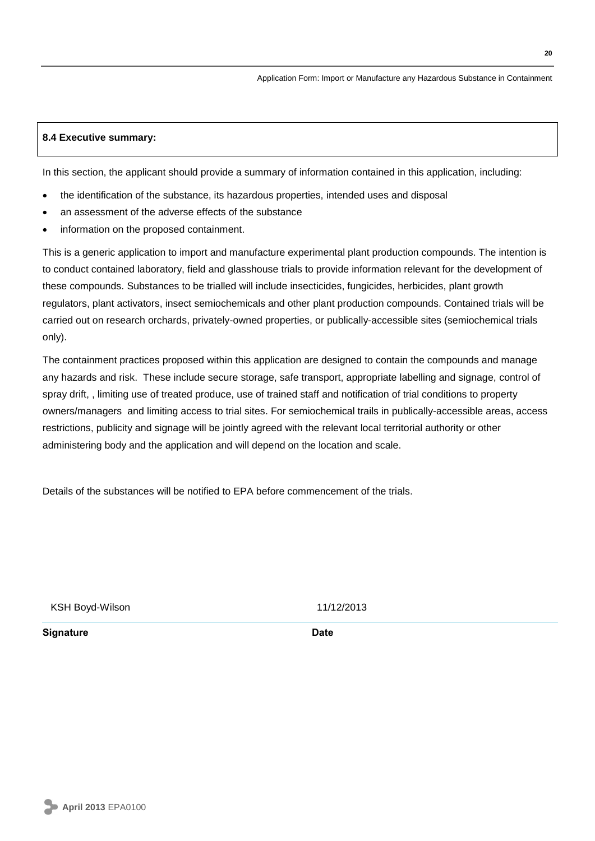#### **8.4 Executive summary:**

In this section, the applicant should provide a summary of information contained in this application, including:

- the identification of the substance, its hazardous properties, intended uses and disposal
- an assessment of the adverse effects of the substance
- information on the proposed containment.

This is a generic application to import and manufacture experimental plant production compounds. The intention is to conduct contained laboratory, field and glasshouse trials to provide information relevant for the development of these compounds. Substances to be trialled will include insecticides, fungicides, herbicides, plant growth regulators, plant activators, insect semiochemicals and other plant production compounds. Contained trials will be carried out on research orchards, privately-owned properties, or publically-accessible sites (semiochemical trials only).

The containment practices proposed within this application are designed to contain the compounds and manage any hazards and risk. These include secure storage, safe transport, appropriate labelling and signage, control of spray drift, , limiting use of treated produce, use of trained staff and notification of trial conditions to property owners/managers and limiting access to trial sites. For semiochemical trails in publically-accessible areas, access restrictions, publicity and signage will be jointly agreed with the relevant local territorial authority or other administering body and the application and will depend on the location and scale.

Details of the substances will be notified to EPA before commencement of the trials.

KSH Boyd-Wilson 11/12/2013

**Signature Date**